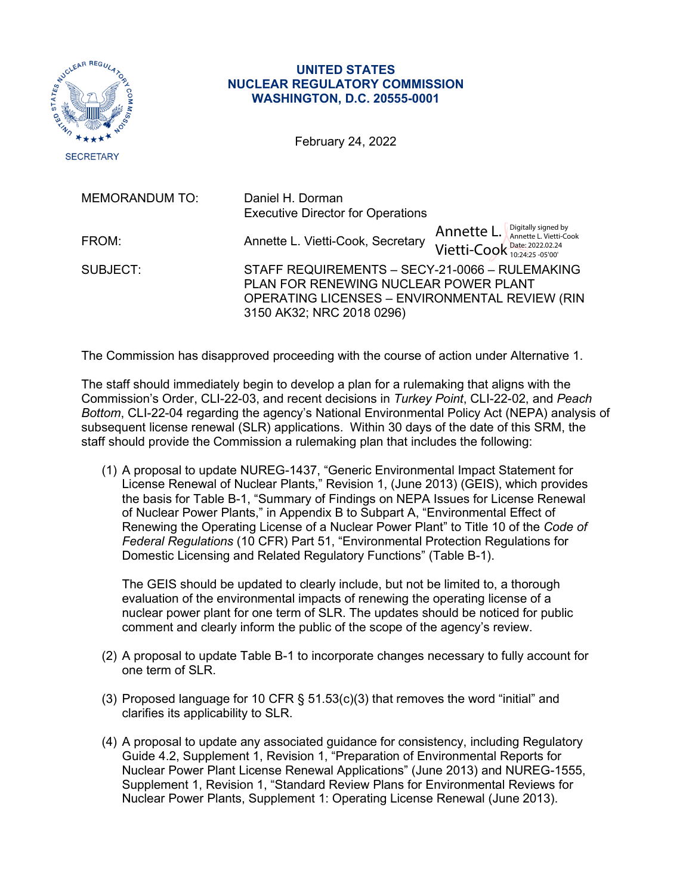

## **UNITED STATES NUCLEAR REGULATORY COMMISSION WASHINGTON, D.C. 20555-0001**

February 24, 2022

| <b>MEMORANDUM TO:</b> | Daniel H. Dorman<br><b>Executive Director for Operations</b>                                                                                                           |                                                                                               |
|-----------------------|------------------------------------------------------------------------------------------------------------------------------------------------------------------------|-----------------------------------------------------------------------------------------------|
| FROM:                 | Annette L. Vietti-Cook, Secretary                                                                                                                                      | Annette $L$ . $\int_{\text{Annette } L. \text{ Vietti-Cook}}$<br>Vietti-Cook Date: 2022.02.24 |
| SUBJECT:              | STAFF REQUIREMENTS - SECY-21-0066 - RULEMAKING<br>PLAN FOR RENEWING NUCLEAR POWER PLANT<br>OPERATING LICENSES - ENVIRONMENTAL REVIEW (RIN<br>3150 AK32; NRC 2018 0296) |                                                                                               |

The Commission has disapproved proceeding with the course of action under Alternative 1.

The staff should immediately begin to develop a plan for a rulemaking that aligns with the Commission's Order, CLI-22-03, and recent decisions in *Turkey Point*, CLI-22-02, and *Peach Bottom*, CLI-22-04 regarding the agency's National Environmental Policy Act (NEPA) analysis of subsequent license renewal (SLR) applications. Within 30 days of the date of this SRM, the staff should provide the Commission a rulemaking plan that includes the following:

(1) A proposal to update NUREG-1437, "Generic Environmental Impact Statement for License Renewal of Nuclear Plants," Revision 1, (June 2013) (GEIS), which provides the basis for Table B-1, "Summary of Findings on NEPA Issues for License Renewal of Nuclear Power Plants," in Appendix B to Subpart A, "Environmental Effect of Renewing the Operating License of a Nuclear Power Plant" to Title 10 of the *Code of Federal Regulations* (10 CFR) Part 51, "Environmental Protection Regulations for Domestic Licensing and Related Regulatory Functions" (Table B-1).

The GEIS should be updated to clearly include, but not be limited to, a thorough evaluation of the environmental impacts of renewing the operating license of a nuclear power plant for one term of SLR. The updates should be noticed for public comment and clearly inform the public of the scope of the agency's review.

- (2) A proposal to update Table B-1 to incorporate changes necessary to fully account for one term of SLR.
- (3) Proposed language for 10 CFR  $\S$  51.53(c)(3) that removes the word "initial" and clarifies its applicability to SLR.
- (4) A proposal to update any associated guidance for consistency, including Regulatory Guide 4.2, Supplement 1, Revision 1, "Preparation of Environmental Reports for Nuclear Power Plant License Renewal Applications" (June 2013) and NUREG-1555, Supplement 1, Revision 1, "Standard Review Plans for Environmental Reviews for Nuclear Power Plants, Supplement 1: Operating License Renewal (June 2013).